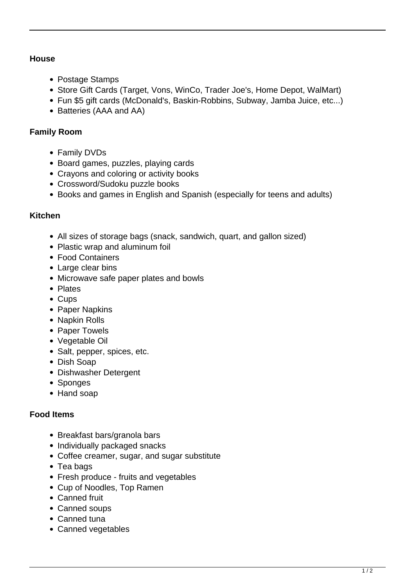#### **House**

- Postage Stamps
- Store Gift Cards (Target, Vons, WinCo, Trader Joe's, Home Depot, WalMart)
- Fun \$5 gift cards (McDonald's, Baskin-Robbins, Subway, Jamba Juice, etc...)
- Batteries (AAA and AA)

### **Family Room**

- Family DVDs
- Board games, puzzles, playing cards
- Crayons and coloring or activity books
- Crossword/Sudoku puzzle books
- Books and games in English and Spanish (especially for teens and adults)

### **Kitchen**

- All sizes of storage bags (snack, sandwich, quart, and gallon sized)
- Plastic wrap and aluminum foil
- Food Containers
- Large clear bins
- Microwave safe paper plates and bowls
- Plates
- Cups
- Paper Napkins
- Napkin Rolls
- Paper Towels
- Vegetable Oil
- Salt, pepper, spices, etc.
- Dish Soap
- Dishwasher Detergent
- Sponges
- Hand soap

# **Food Items**

- Breakfast bars/granola bars
- Individually packaged snacks
- Coffee creamer, sugar, and sugar substitute
- Tea bags
- Fresh produce fruits and vegetables
- Cup of Noodles, Top Ramen
- Canned fruit
- Canned soups
- Canned tuna
- Canned vegetables